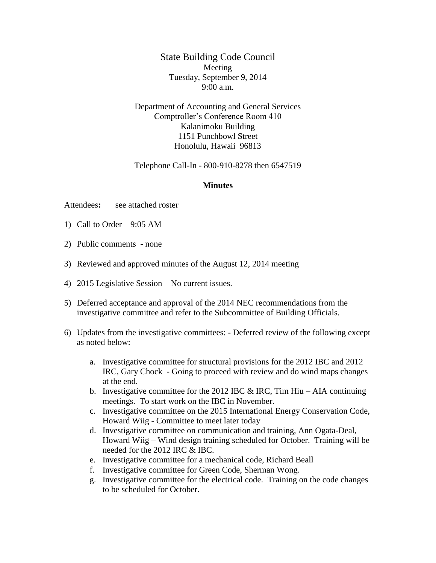State Building Code Council Meeting Tuesday, September 9, 2014 9:00 a.m.

Department of Accounting and General Services Comptroller's Conference Room 410 Kalanimoku Building 1151 Punchbowl Street Honolulu, Hawaii 96813

Telephone Call-In - 800-910-8278 then 6547519

## **Minutes**

Attendees**:** see attached roster

- 1) Call to Order  $-9:05$  AM
- 2) Public comments none
- 3) Reviewed and approved minutes of the August 12, 2014 meeting
- 4) 2015 Legislative Session No current issues.
- 5) Deferred acceptance and approval of the 2014 NEC recommendations from the investigative committee and refer to the Subcommittee of Building Officials.
- 6) Updates from the investigative committees: Deferred review of the following except as noted below:
	- a. Investigative committee for structural provisions for the 2012 IBC and 2012 IRC, Gary Chock - Going to proceed with review and do wind maps changes at the end.
	- b. Investigative committee for the 2012 IBC  $\&$  IRC, Tim Hiu AIA continuing meetings. To start work on the IBC in November.
	- c. Investigative committee on the 2015 International Energy Conservation Code, Howard Wiig - Committee to meet later today
	- d. Investigative committee on communication and training, Ann Ogata-Deal, Howard Wiig – Wind design training scheduled for October. Training will be needed for the 2012 IRC & IBC.
	- e. Investigative committee for a mechanical code, Richard Beall
	- f. Investigative committee for Green Code, Sherman Wong.
	- g. Investigative committee for the electrical code. Training on the code changes to be scheduled for October.